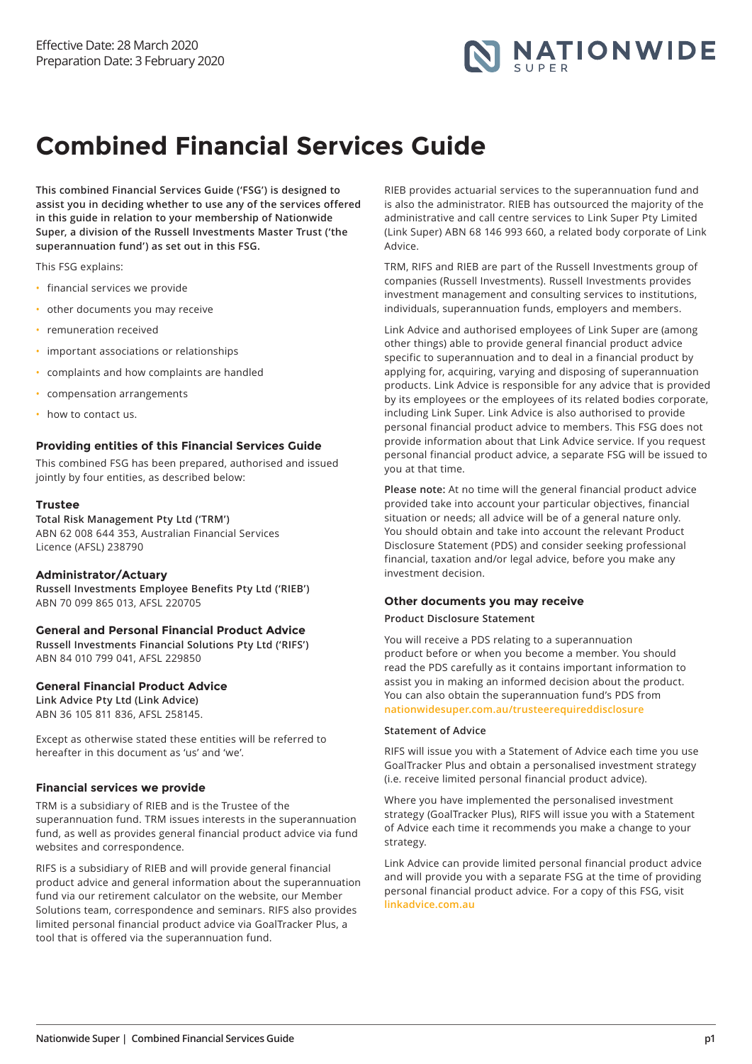

# **Combined Financial Services Guide**

**This combined Financial Services Guide ('FSG') is designed to assist you in deciding whether to use any of the services offered in this guide in relation to your membership of Nationwide Super, a division of the Russell Investments Master Trust ('the superannuation fund') as set out in this FSG.**

This FSG explains:

- financial services we provide
- other documents you may receive
- remuneration received
- important associations or relationships
- complaints and how complaints are handled
- compensation arrangements
- how to contact us.

#### **Providing entities of this Financial Services Guide**

This combined FSG has been prepared, authorised and issued jointly by four entities, as described below:

#### **Trustee**

**Total Risk Management Pty Ltd ('TRM')**  ABN 62 008 644 353, Australian Financial Services Licence (AFSL) 238790

#### **Administrator/Actuary**

**Russell Investments Employee Benefits Pty Ltd ('RIEB')** ABN 70 099 865 013, AFSL 220705

# **General and Personal Financial Product Advice**

**Russell Investments Financial Solutions Pty Ltd ('RIFS')**  ABN 84 010 799 041, AFSL 229850

# **General Financial Product Advice**

**Link Advice Pty Ltd (Link Advice)**  ABN 36 105 811 836, AFSL 258145.

Except as otherwise stated these entities will be referred to hereafter in this document as 'us' and 'we'.

#### **Financial services we provide**

TRM is a subsidiary of RIEB and is the Trustee of the superannuation fund. TRM issues interests in the superannuation fund, as well as provides general financial product advice via fund websites and correspondence.

RIFS is a subsidiary of RIEB and will provide general financial product advice and general information about the superannuation fund via our retirement calculator on the website, our Member Solutions team, correspondence and seminars. RIFS also provides limited personal financial product advice via GoalTracker Plus, a tool that is offered via the superannuation fund.

RIEB provides actuarial services to the superannuation fund and is also the administrator. RIEB has outsourced the majority of the administrative and call centre services to Link Super Pty Limited (Link Super) ABN 68 146 993 660, a related body corporate of Link Advice.

TRM, RIFS and RIEB are part of the Russell Investments group of companies (Russell Investments). Russell Investments provides investment management and consulting services to institutions, individuals, superannuation funds, employers and members.

Link Advice and authorised employees of Link Super are (among other things) able to provide general financial product advice specific to superannuation and to deal in a financial product by applying for, acquiring, varying and disposing of superannuation products. Link Advice is responsible for any advice that is provided by its employees or the employees of its related bodies corporate, including Link Super. Link Advice is also authorised to provide personal financial product advice to members. This FSG does not provide information about that Link Advice service. If you request personal financial product advice, a separate FSG will be issued to you at that time.

**Please note:** At no time will the general financial product advice provided take into account your particular objectives, financial situation or needs; all advice will be of a general nature only. You should obtain and take into account the relevant Product Disclosure Statement (PDS) and consider seeking professional financial, taxation and/or legal advice, before you make any investment decision.

#### **Other documents you may receive**

## **Product Disclosure Statement**

You will receive a PDS relating to a superannuation product before or when you become a member. You should read the PDS carefully as it contains important information to assist you in making an informed decision about the product. You can also obtain the superannuation fund's PDS from **[nationwidesuper.com.au/trusteerequireddisclosure](https://nationwidesuper.com.au/trusteerequireddisclosure)**

## **Statement of Advice**

RIFS will issue you with a Statement of Advice each time you use GoalTracker Plus and obtain a personalised investment strategy (i.e. receive limited personal financial product advice).

Where you have implemented the personalised investment strategy (GoalTracker Plus), RIFS will issue you with a Statement of Advice each time it recommends you make a change to your strategy.

Link Advice can provide limited personal financial product advice and will provide you with a separate FSG at the time of providing personal financial product advice. For a copy of this FSG, visit **[linkadvice.com.au](https://linkadvice.com.au)**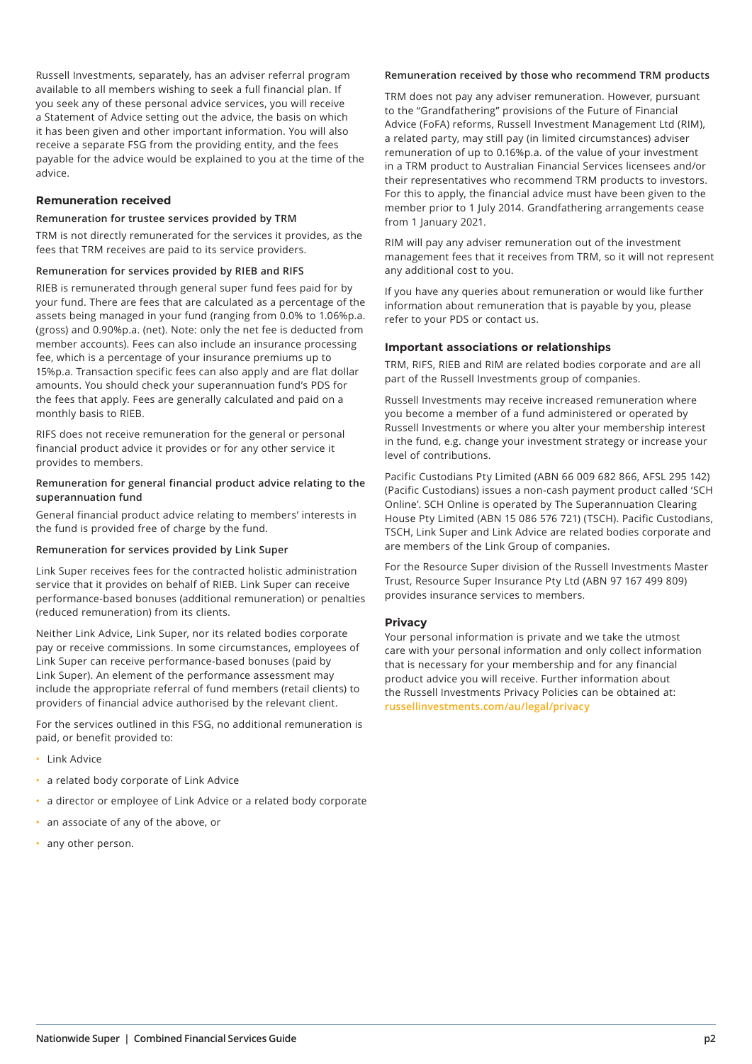Russell Investments, separately, has an adviser referral program available to all members wishing to seek a full financial plan. If you seek any of these personal advice services, you will receive a Statement of Advice setting out the advice, the basis on which it has been given and other important information. You will also receive a separate FSG from the providing entity, and the fees payable for the advice would be explained to you at the time of the advice.

# **Remuneration received**

#### **Remuneration for trustee services provided by TRM**

TRM is not directly remunerated for the services it provides, as the fees that TRM receives are paid to its service providers.

#### **Remuneration for services provided by RIEB and RIFS**

RIEB is remunerated through general super fund fees paid for by your fund. There are fees that are calculated as a percentage of the assets being managed in your fund (ranging from 0.0% to 1.06%p.a. (gross) and 0.90%p.a. (net). Note: only the net fee is deducted from member accounts). Fees can also include an insurance processing fee, which is a percentage of your insurance premiums up to 15%p.a. Transaction specific fees can also apply and are flat dollar amounts. You should check your superannuation fund's PDS for the fees that apply. Fees are generally calculated and paid on a monthly basis to RIEB.

RIFS does not receive remuneration for the general or personal financial product advice it provides or for any other service it provides to members.

#### **Remuneration for general financial product advice relating to the superannuation fund**

General financial product advice relating to members' interests in the fund is provided free of charge by the fund.

#### **Remuneration for services provided by Link Super**

Link Super receives fees for the contracted holistic administration service that it provides on behalf of RIEB. Link Super can receive performance-based bonuses (additional remuneration) or penalties (reduced remuneration) from its clients.

Neither Link Advice, Link Super, nor its related bodies corporate pay or receive commissions. In some circumstances, employees of Link Super can receive performance-based bonuses (paid by Link Super). An element of the performance assessment may include the appropriate referral of fund members (retail clients) to providers of financial advice authorised by the relevant client.

For the services outlined in this FSG, no additional remuneration is paid, or benefit provided to:

- Link Advice
- a related body corporate of Link Advice
- a director or employee of Link Advice or a related body corporate
- an associate of any of the above, or
- any other person.

## **Remuneration received by those who recommend TRM products**

TRM does not pay any adviser remuneration. However, pursuant to the "Grandfathering" provisions of the Future of Financial Advice (FoFA) reforms, Russell Investment Management Ltd (RIM), a related party, may still pay (in limited circumstances) adviser remuneration of up to 0.16%p.a. of the value of your investment in a TRM product to Australian Financial Services licensees and/or their representatives who recommend TRM products to investors. For this to apply, the financial advice must have been given to the member prior to 1 July 2014. Grandfathering arrangements cease from 1 January 2021.

RIM will pay any adviser remuneration out of the investment management fees that it receives from TRM, so it will not represent any additional cost to you.

If you have any queries about remuneration or would like further information about remuneration that is payable by you, please refer to your PDS or contact us.

#### **Important associations or relationships**

TRM, RIFS, RIEB and RIM are related bodies corporate and are all part of the Russell Investments group of companies.

Russell Investments may receive increased remuneration where you become a member of a fund administered or operated by Russell Investments or where you alter your membership interest in the fund, e.g. change your investment strategy or increase your level of contributions.

Pacific Custodians Pty Limited (ABN 66 009 682 866, AFSL 295 142) (Pacific Custodians) issues a non-cash payment product called 'SCH Online'. SCH Online is operated by The Superannuation Clearing House Pty Limited (ABN 15 086 576 721) (TSCH). Pacific Custodians, TSCH, Link Super and Link Advice are related bodies corporate and are members of the Link Group of companies.

For the Resource Super division of the Russell Investments Master Trust, Resource Super Insurance Pty Ltd (ABN 97 167 499 809) provides insurance services to members.

#### **Privacy**

Your personal information is private and we take the utmost care with your personal information and only collect information that is necessary for your membership and for any financial product advice you will receive. Further information about the Russell Investments Privacy Policies can be obtained at: **[russellinvestments.com/au/legal/privacy](https://russellinvestments.com/au/legal/privacy)**